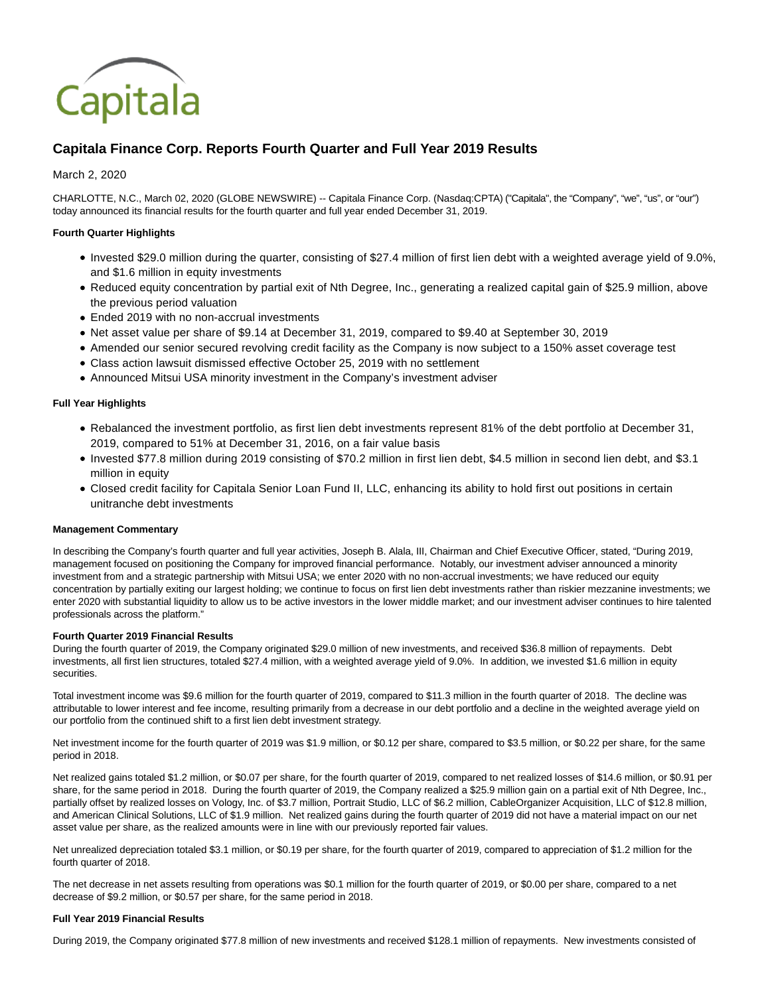

# **Capitala Finance Corp. Reports Fourth Quarter and Full Year 2019 Results**

March 2, 2020

CHARLOTTE, N.C., March 02, 2020 (GLOBE NEWSWIRE) -- Capitala Finance Corp. (Nasdaq:CPTA) ("Capitala", the "Company", "we", "us", or "our") today announced its financial results for the fourth quarter and full year ended December 31, 2019.

### **Fourth Quarter Highlights**

- Invested \$29.0 million during the quarter, consisting of \$27.4 million of first lien debt with a weighted average yield of 9.0%, and \$1.6 million in equity investments
- Reduced equity concentration by partial exit of Nth Degree, Inc., generating a realized capital gain of \$25.9 million, above the previous period valuation
- Ended 2019 with no non-accrual investments
- Net asset value per share of \$9.14 at December 31, 2019, compared to \$9.40 at September 30, 2019
- Amended our senior secured revolving credit facility as the Company is now subject to a 150% asset coverage test
- Class action lawsuit dismissed effective October 25, 2019 with no settlement
- Announced Mitsui USA minority investment in the Company's investment adviser

### **Full Year Highlights**

- Rebalanced the investment portfolio, as first lien debt investments represent 81% of the debt portfolio at December 31, 2019, compared to 51% at December 31, 2016, on a fair value basis
- Invested \$77.8 million during 2019 consisting of \$70.2 million in first lien debt, \$4.5 million in second lien debt, and \$3.1 million in equity
- Closed credit facility for Capitala Senior Loan Fund II, LLC, enhancing its ability to hold first out positions in certain unitranche debt investments

### **Management Commentary**

In describing the Company's fourth quarter and full year activities, Joseph B. Alala, III, Chairman and Chief Executive Officer, stated, "During 2019, management focused on positioning the Company for improved financial performance. Notably, our investment adviser announced a minority investment from and a strategic partnership with Mitsui USA; we enter 2020 with no non-accrual investments; we have reduced our equity concentration by partially exiting our largest holding; we continue to focus on first lien debt investments rather than riskier mezzanine investments; we enter 2020 with substantial liquidity to allow us to be active investors in the lower middle market; and our investment adviser continues to hire talented professionals across the platform."

### **Fourth Quarter 2019 Financial Results**

During the fourth quarter of 2019, the Company originated \$29.0 million of new investments, and received \$36.8 million of repayments. Debt investments, all first lien structures, totaled \$27.4 million, with a weighted average yield of 9.0%. In addition, we invested \$1.6 million in equity securities.

Total investment income was \$9.6 million for the fourth quarter of 2019, compared to \$11.3 million in the fourth quarter of 2018. The decline was attributable to lower interest and fee income, resulting primarily from a decrease in our debt portfolio and a decline in the weighted average yield on our portfolio from the continued shift to a first lien debt investment strategy.

Net investment income for the fourth quarter of 2019 was \$1.9 million, or \$0.12 per share, compared to \$3.5 million, or \$0.22 per share, for the same period in 2018.

Net realized gains totaled \$1.2 million, or \$0.07 per share, for the fourth quarter of 2019, compared to net realized losses of \$14.6 million, or \$0.91 per share, for the same period in 2018. During the fourth quarter of 2019, the Company realized a \$25.9 million gain on a partial exit of Nth Degree, Inc., partially offset by realized losses on Vology, Inc. of \$3.7 million, Portrait Studio, LLC of \$6.2 million, CableOrganizer Acquisition, LLC of \$12.8 million, and American Clinical Solutions, LLC of \$1.9 million. Net realized gains during the fourth quarter of 2019 did not have a material impact on our net asset value per share, as the realized amounts were in line with our previously reported fair values.

Net unrealized depreciation totaled \$3.1 million, or \$0.19 per share, for the fourth quarter of 2019, compared to appreciation of \$1.2 million for the fourth quarter of 2018.

The net decrease in net assets resulting from operations was \$0.1 million for the fourth quarter of 2019, or \$0.00 per share, compared to a net decrease of \$9.2 million, or \$0.57 per share, for the same period in 2018.

#### **Full Year 2019 Financial Results**

During 2019, the Company originated \$77.8 million of new investments and received \$128.1 million of repayments. New investments consisted of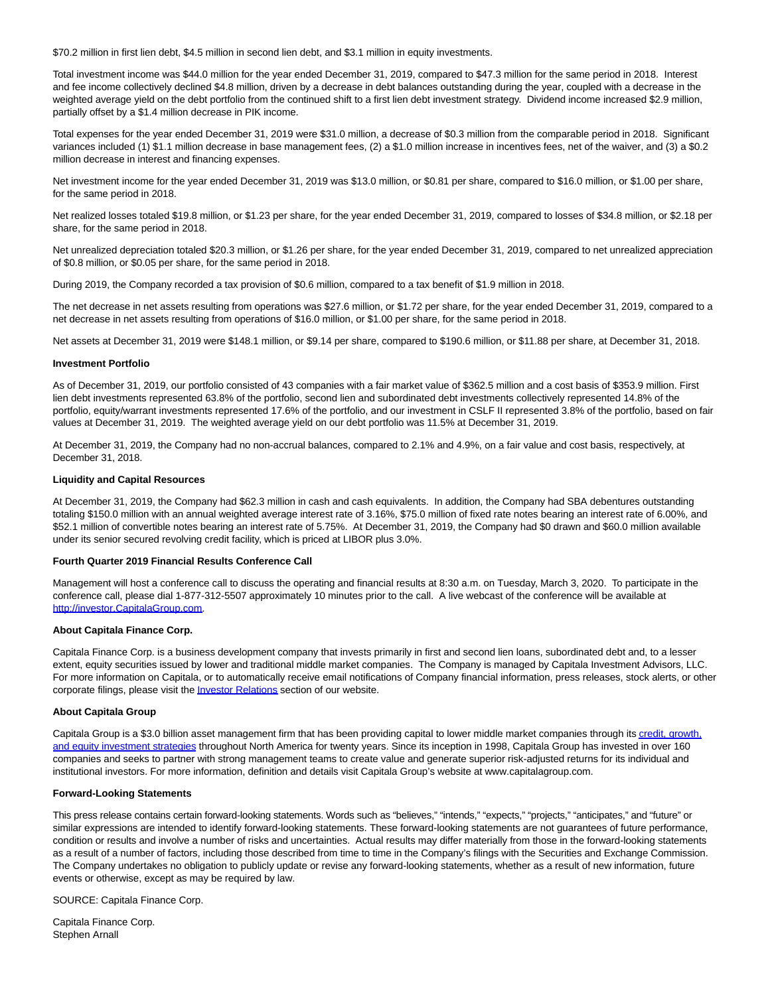\$70.2 million in first lien debt, \$4.5 million in second lien debt, and \$3.1 million in equity investments.

Total investment income was \$44.0 million for the year ended December 31, 2019, compared to \$47.3 million for the same period in 2018. Interest and fee income collectively declined \$4.8 million, driven by a decrease in debt balances outstanding during the year, coupled with a decrease in the weighted average yield on the debt portfolio from the continued shift to a first lien debt investment strategy. Dividend income increased \$2.9 million, partially offset by a \$1.4 million decrease in PIK income.

Total expenses for the year ended December 31, 2019 were \$31.0 million, a decrease of \$0.3 million from the comparable period in 2018. Significant variances included (1) \$1.1 million decrease in base management fees, (2) a \$1.0 million increase in incentives fees, net of the waiver, and (3) a \$0.2 million decrease in interest and financing expenses.

Net investment income for the year ended December 31, 2019 was \$13.0 million, or \$0.81 per share, compared to \$16.0 million, or \$1.00 per share, for the same period in 2018.

Net realized losses totaled \$19.8 million, or \$1.23 per share, for the year ended December 31, 2019, compared to losses of \$34.8 million, or \$2.18 per share, for the same period in 2018.

Net unrealized depreciation totaled \$20.3 million, or \$1.26 per share, for the year ended December 31, 2019, compared to net unrealized appreciation of \$0.8 million, or \$0.05 per share, for the same period in 2018.

During 2019, the Company recorded a tax provision of \$0.6 million, compared to a tax benefit of \$1.9 million in 2018.

The net decrease in net assets resulting from operations was \$27.6 million, or \$1.72 per share, for the year ended December 31, 2019, compared to a net decrease in net assets resulting from operations of \$16.0 million, or \$1.00 per share, for the same period in 2018.

Net assets at December 31, 2019 were \$148.1 million, or \$9.14 per share, compared to \$190.6 million, or \$11.88 per share, at December 31, 2018.

#### **Investment Portfolio**

As of December 31, 2019, our portfolio consisted of 43 companies with a fair market value of \$362.5 million and a cost basis of \$353.9 million. First lien debt investments represented 63.8% of the portfolio, second lien and subordinated debt investments collectively represented 14.8% of the portfolio, equity/warrant investments represented 17.6% of the portfolio, and our investment in CSLF II represented 3.8% of the portfolio, based on fair values at December 31, 2019. The weighted average yield on our debt portfolio was 11.5% at December 31, 2019.

At December 31, 2019, the Company had no non-accrual balances, compared to 2.1% and 4.9%, on a fair value and cost basis, respectively, at December 31, 2018.

#### **Liquidity and Capital Resources**

At December 31, 2019, the Company had \$62.3 million in cash and cash equivalents. In addition, the Company had SBA debentures outstanding totaling \$150.0 million with an annual weighted average interest rate of 3.16%, \$75.0 million of fixed rate notes bearing an interest rate of 6.00%, and \$52.1 million of convertible notes bearing an interest rate of 5.75%. At December 31, 2019, the Company had \$0 drawn and \$60.0 million available under its senior secured revolving credit facility, which is priced at LIBOR plus 3.0%.

#### **Fourth Quarter 2019 Financial Results Conference Call**

Management will host a conference call to discuss the operating and financial results at 8:30 a.m. on Tuesday, March 3, 2020. To participate in the conference call, please dial 1-877-312-5507 approximately 10 minutes prior to the call. A live webcast of the conference will be available at [http://investor.CapitalaGroup.com.](https://www.globenewswire.com/Tracker?data=sNJ28RhU3hVfDDULF7UemEuIfiPckBD_XqgmFPW4S0AYNjlqYU5Aftj1y80pYl_Pc8RtiPWV7GwByZUgK7M5VouxSx1kIFf7dPeg1bOYmox0Tk2c-XMmlnfHuA-E_8v_) 

#### **About Capitala Finance Corp.**

Capitala Finance Corp. is a business development company that invests primarily in first and second lien loans, subordinated debt and, to a lesser extent, equity securities issued by lower and traditional middle market companies. The Company is managed by Capitala Investment Advisors, LLC. For more information on Capitala, or to automatically receive email notifications of Company financial information, press releases, stock alerts, or other corporate filings, please visit the *Investor Relations* section of our website.

#### **About Capitala Group**

Capitala Group is a \$3.0 billion asset management firm that has been providing capital to lower middle market companies through it[s credit, growth,](https://www.globenewswire.com/Tracker?data=b1DIXuGs1hlbgTRmwaG2-JuuM6UpdGMOMbq_t6K3QyK69MZQZdeWAhGMvDPc77K32ZRCHPloPp_DpzbqYaPocej9uH8bN32xYfJaDvlttpuf-mCigsQ93EiWmf3Wh7PK0t3A-6P7EZom4pDW4o2FAw==) and equity investment strategies throughout North America for twenty years. Since its inception in 1998, Capitala Group has invested in over 160 companies and seeks to partner with strong management teams to create value and generate superior risk-adjusted returns for its individual and institutional investors. For more information, definition and details visit Capitala Group's website at www.capitalagroup.com.

#### **Forward-Looking Statements**

This press release contains certain forward-looking statements. Words such as "believes," "intends," "expects," "projects," "anticipates," and "future" or similar expressions are intended to identify forward-looking statements. These forward-looking statements are not guarantees of future performance, condition or results and involve a number of risks and uncertainties. Actual results may differ materially from those in the forward-looking statements as a result of a number of factors, including those described from time to time in the Company's filings with the Securities and Exchange Commission. The Company undertakes no obligation to publicly update or revise any forward-looking statements, whether as a result of new information, future events or otherwise, except as may be required by law.

SOURCE: Capitala Finance Corp.

Capitala Finance Corp. Stephen Arnall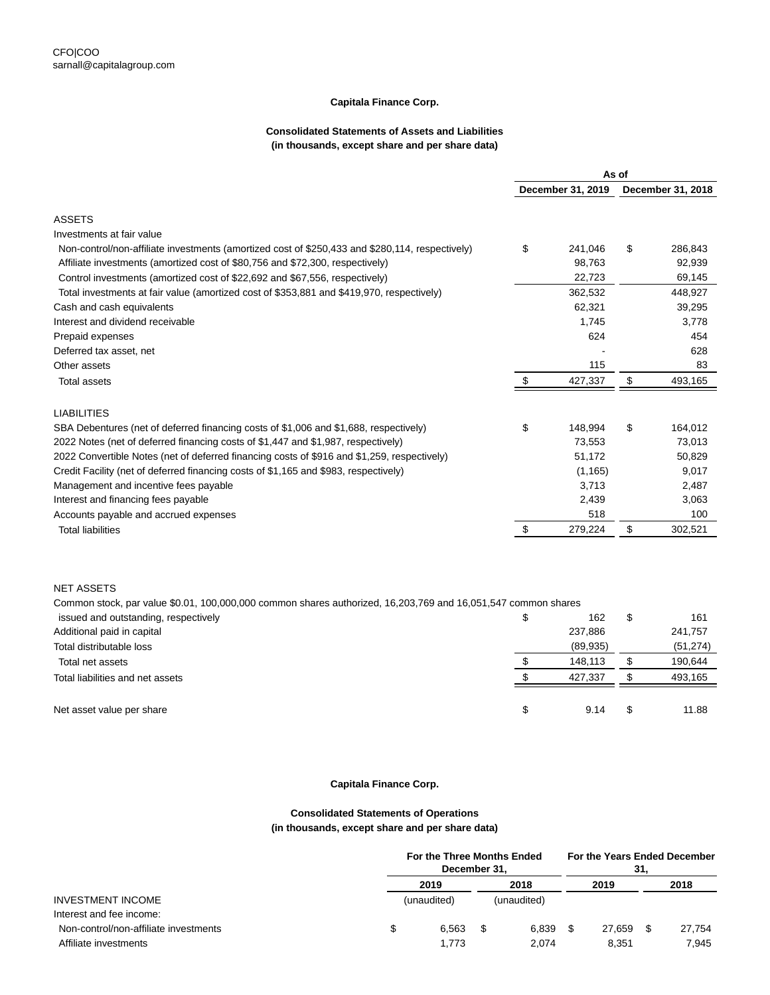# **Capitala Finance Corp.**

# **Consolidated Statements of Assets and Liabilities (in thousands, except share and per share data)**

|                                                                                                 | As of |                   |                   |         |  |
|-------------------------------------------------------------------------------------------------|-------|-------------------|-------------------|---------|--|
|                                                                                                 |       | December 31, 2019 | December 31, 2018 |         |  |
| <b>ASSETS</b>                                                                                   |       |                   |                   |         |  |
| Investments at fair value                                                                       |       |                   |                   |         |  |
| Non-control/non-affiliate investments (amortized cost of \$250,433 and \$280,114, respectively) | \$    | 241,046           | \$                | 286,843 |  |
| Affiliate investments (amortized cost of \$80,756 and \$72,300, respectively)                   |       | 98,763            |                   | 92,939  |  |
| Control investments (amortized cost of \$22,692 and \$67,556, respectively)                     |       | 22,723            |                   | 69,145  |  |
| Total investments at fair value (amortized cost of \$353,881 and \$419,970, respectively)       |       | 362,532           |                   | 448,927 |  |
| Cash and cash equivalents                                                                       |       | 62,321            |                   | 39,295  |  |
| Interest and dividend receivable                                                                |       | 1.745             |                   | 3.778   |  |
| Prepaid expenses                                                                                |       | 624               |                   | 454     |  |
| Deferred tax asset, net                                                                         |       |                   |                   | 628     |  |
| Other assets                                                                                    |       | 115               |                   | 83      |  |
| <b>Total assets</b>                                                                             |       | 427,337           |                   | 493,165 |  |
| <b>LIABILITIES</b>                                                                              |       |                   |                   |         |  |
| SBA Debentures (net of deferred financing costs of \$1,006 and \$1,688, respectively)           | \$    | 148,994           | \$                | 164,012 |  |
| 2022 Notes (net of deferred financing costs of \$1,447 and \$1,987, respectively)               |       | 73,553            |                   | 73,013  |  |
| 2022 Convertible Notes (net of deferred financing costs of \$916 and \$1,259, respectively)     |       | 51,172            |                   | 50.829  |  |
| Credit Facility (net of deferred financing costs of \$1,165 and \$983, respectively)            |       | (1, 165)          |                   | 9,017   |  |
| Management and incentive fees payable                                                           |       | 3,713             |                   | 2,487   |  |
| Interest and financing fees payable                                                             |       | 2,439             |                   | 3,063   |  |
| Accounts payable and accrued expenses                                                           |       | 518               |                   | 100     |  |
| <b>Total liabilities</b>                                                                        | \$    | 279,224           | \$                | 302,521 |  |

NET ASSETS

| Common stock, par value \$0.01, 100,000,000 common shares authorized, 16,203,769 and 16,051,547 common shares |           |           |
|---------------------------------------------------------------------------------------------------------------|-----------|-----------|
| issued and outstanding, respectively                                                                          | 162       | 161       |
| Additional paid in capital                                                                                    | 237.886   | 241,757   |
| Total distributable loss                                                                                      | (89, 935) | (51, 274) |
| Total net assets                                                                                              | 148.113   | 190,644   |
| Total liabilities and net assets                                                                              | 427.337   | 493,165   |
|                                                                                                               |           |           |
| Net asset value per share                                                                                     | 9.14      | 11.88     |

# **Capitala Finance Corp.**

## **Consolidated Statements of Operations (in thousands, except share and per share data)**

|                                       |      | For the Three Months Ended<br>December 31, |      |             | For the Years Ended December<br>31. |        |      |        |  |
|---------------------------------------|------|--------------------------------------------|------|-------------|-------------------------------------|--------|------|--------|--|
|                                       | 2019 |                                            | 2018 |             | 2019                                |        | 2018 |        |  |
| <b>INVESTMENT INCOME</b>              |      | (unaudited)                                |      | (unaudited) |                                     |        |      |        |  |
| Interest and fee income:              |      |                                            |      |             |                                     |        |      |        |  |
| Non-control/non-affiliate investments | S    | 6.563                                      |      | 6.839       | S                                   | 27.659 |      | 27.754 |  |
| Affiliate investments                 |      | 1.773                                      |      | 2.074       |                                     | 8.351  |      | 7.945  |  |